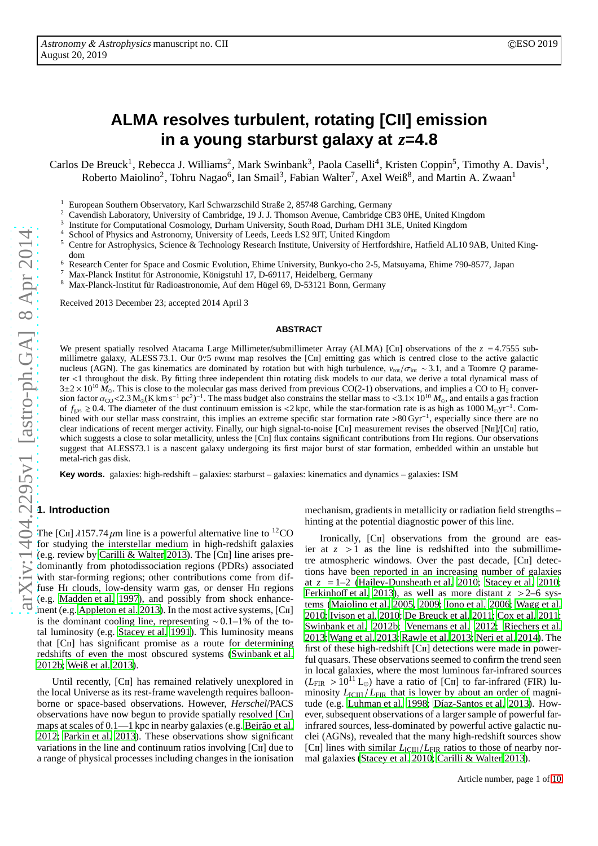# **ALMA resolves turbulent, rotating [CII] emission in a young starburst galaxy at** *z***=4.8**

Carlos De Breuck<sup>1</sup>, Rebecca J. Williams<sup>2</sup>, Mark Swinbank<sup>3</sup>, Paola Caselli<sup>4</sup>, Kristen Coppin<sup>5</sup>, Timothy A. Davis<sup>1</sup>, Roberto Maiolino<sup>2</sup>, Tohru Nagao<sup>6</sup>, Ian Smail<sup>3</sup>, Fabian Walter<sup>7</sup>, Axel Weiß<sup>8</sup>, and Martin A. Zwaan<sup>1</sup>

<sup>1</sup> European Southern Observatory, Karl Schwarzschild Straße 2, 85748 Garching, Germany<br><sup>2</sup> Covendish Leberstow, University of Cembridge, 10 J. J. Thomson Ayanye, Cembridge Cl

<sup>2</sup> Cavendish Laboratory, University of Cambridge, 19 J. J. Thomson Avenue, Cambridge CB3 0HE, United Kingdom

3 Institute for Computational Cosmology, Durham University, South Road, Durham DH1 3LE, United Kingdom

School of Physics and Astronomy, University of Leeds, Leeds LS2 9JT, United Kingdom

<sup>5</sup> Centre for Astrophysics, Science & Technology Research Institute, University of Hertfordshire, Hatfield AL10 9AB, United Kingdom

<sup>6</sup> Research Center for Space and Cosmic Evolution, Ehime University, Bunkyo-cho 2-5, Matsuyama, Ehime 790-8577, Japan

<sup>7</sup> Max-Planck Institut für Astronomie, Königstuhl 17, D-69117, Heidelberg, Germany

<sup>8</sup> Max-Planck-Institut für Radioastronomie, Auf dem Hügel 69, D-53121 Bonn, Germany

Received 2013 December 23; accepted 2014 April 3

#### **ABSTRACT**

We present spatially resolved Atacama Large Millimeter/submillimeter Array (ALMA) [CII] observations of the  $z = 4.7555$  submillimetre galaxy, ALESS 73.1. Our 0′′ millimetre galaxy, ALESS 73.1. Our 0. 6 FWHM map resolves the [CII] emitting gas which is centred close to the active galactic nucleus (AGN). The gas kinematics are dominated by rotation but with high turbulence, *v*rot/σint ∼ 3.1, and a Toomre *Q* parameter <1 throughout the disk. By fitting three independent thin rotating disk models to our data, we derive a total dynamical mass of  $3\pm2\times10^{10}$   $\tilde{M}_{\odot}$ . This is close to the molecular gas mass derived from previous CO(2-1) observations, and implies a CO to H<sub>2</sub> conversion factor  $\alpha_{\rm CO}$ <2.3 M<sub>☉</sub>(K km s<sup>-1</sup> pc<sup>2</sup>)<sup>-1</sup> sion factor  $\alpha_{\rm CO}$  < 2.3 M<sub>o</sub>(K km s<sup>-1</sup> pc<sup>2</sup>)<sup>-1</sup>. The mass budget also constrains the stellar mass to <3.1× 10<sup>10</sup> *M*<sub>o</sub>, and entails a gas fraction of  $f_{\text{gas}} \ge 0.4$ . The diameter of the dust continuum emission is <2 kpc, while the star-formation rate is as high as 1000 M<sub>☉</sub>yr<sup>-1</sup>. Combined with our stellar mass constraint, this implies an extreme specific star formation rate >80 Gyr<sup>-1</sup>, especially since there are no clear indications of recent merger activity. Finally, our high signal-to-noise [C<sub>II</sub>] measurement revises the observed [N<sub>II</sub>]/[C<sub>II</sub>] ratio, which suggests a close to solar metallicity, unless the [CII] flux contains significant contributions from HII regions. Our observations suggest that ALESS73.1 is a nascent galaxy undergoing its first major burst of star formation, embedded within an unstable but metal-rich gas disk.

**Key words.** galaxies: high-redshift – galaxies: starburst – galaxies: kinematics and dynamics – galaxies: ISM

# **1. Introduction**

The [CII]  $\lambda$ 157.74  $\mu$ m line is a powerful alternative line to <sup>12</sup>CO for studying the interstellar medium in high-redshift galaxies (e.g. review by [Carilli & Walter 2013\)](#page-8-0). The [Cii] line arises predominantly from photodissociation regions (PDRs) associated with star-forming regions; other contributions come from diffuse Hi clouds, low-density warm gas, or denser Hii regions (e.g. [Madden et al. 1997\)](#page-9-0), and possibly from shock enhance-ment (e.g. [Appleton et al. 2013](#page-8-1)). In the most active systems, [CII] is the dominant cooling line, representing ∼0.1–1% of the total luminosity (e.g. [Stacey et al. 1991\)](#page-9-1). This luminosity means that [Cii] has significant promise as a route for determining redshifts of even the most obscured systems [\(Swinbank et al.](#page-9-2) [2012b;](#page-9-2) [Weiß et al. 2013](#page-9-3)).

Until recently, [C<sub>II</sub>] has remained relatively unexplored in the local Universe as its rest-frame wavelength requires balloonborne or space-based observations. However, *Herschel*/PACS observations have now begun to provide spatially resolved [Cii] maps at scales of 0.1—1 kpc in nearby galaxies (e.g. [Beirão et](#page-8-2) al. [2012;](#page-8-2) [Parkin et al. 2013\)](#page-9-4). These observations show significant variations in the line and continuum ratios involving [Cii] due to a range of physical processes including changes in the ionisation

mechanism, gradients in metallicity or radiation field strengths – hinting at the potential diagnostic power of this line.

Ironically, [C<sub>II</sub>] observations from the ground are easier at  $z > 1$  as the line is redshifted into the submillimetre atmospheric windows. Over the past decade, [Cii] detections have been reported in an increasing number of galaxies at  $z = 1-2$  [\(Hailey-Dunsheath et al. 2010;](#page-9-5) [Stacey et al. 2010;](#page-9-6) [Ferkinho](#page-8-3)ff et al. [2013\)](#page-8-3), as well as more distant  $z > 2$ –6 systems [\(Maiolino et al. 2005](#page-9-7), [2009](#page-9-8); [Iono et al. 2006](#page-9-9); [Wagg et al.](#page-9-10) [2010;](#page-9-10) [Ivison et al. 2010;](#page-9-11) [De Breuck et al. 2011;](#page-8-4) [Cox et al. 2011;](#page-8-5) [Swinbank et al. 2012b;](#page-9-2) [Venemans et al. 2012](#page-9-12); [Riechers et al.](#page-9-13) [2013;](#page-9-13) [Wang et al. 2013;](#page-9-14) [Rawle et al. 2013;](#page-9-15) [Neri et al. 2014](#page-9-16)). The first of these high-redshift [C<sub>II</sub>] detections were made in powerful quasars. These observations seemed to confirm the trend seen in local galaxies, where the most luminous far-infrared sources  $(L_{\text{FIR}} > 10^{11} \text{ L}_{\odot})$  have a ratio of [CII] to far-infrared (FIR) luminosity  $L_{\text{ICII}} / L_{\text{FIR}}$  that is lower by about an order of magnitude (e.g. [Luhman et al. 1998](#page-9-17); [Díaz-Santos et al. 2013](#page-8-6)). However, subsequent observations of a larger sample of powerful farinfrared sources, less-dominated by powerful active galactic nuclei (AGNs), revealed that the many high-redshift sources show [CII] lines with similar  $L_{\text{[CII]}}/L_{\text{FIR}}$  ratios to those of nearby normal galaxies [\(Stacey et al. 2010;](#page-9-6) [Carilli & Walter 2013](#page-8-0)).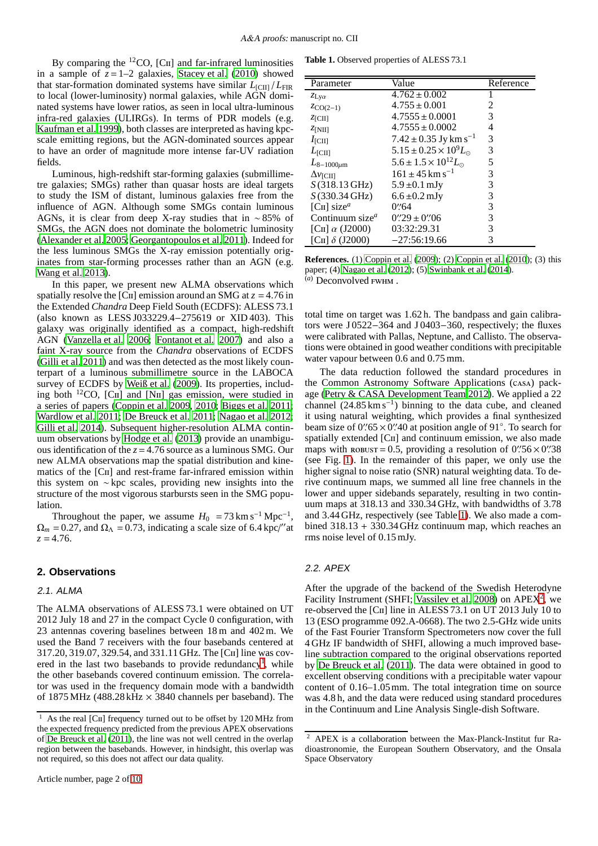By comparing the  ${}^{12}CO$ , [C<sub>II</sub>] and far-infrared luminosities in a sample of  $z=1-2$  galaxies, [Stacey et al. \(2010\)](#page-9-6) showed that star-formation dominated systems have similar  $L_{\text{ICII}} / L_{\text{FIR}}$ to local (lower-luminosity) normal galaxies, while AGN dominated systems have lower ratios, as seen in local ultra-luminous infra-red galaxies (ULIRGs). In terms of PDR models (e.g. [Kaufman et al. 1999\)](#page-9-18), both classes are interpreted as having kpcscale emitting regions, but the AGN-dominated sources appear to have an order of magnitude more intense far-UV radiation fields.

Luminous, high-redshift star-forming galaxies (submillimetre galaxies; SMGs) rather than quasar hosts are ideal targets to study the ISM of distant, luminous galaxies free from the influence of AGN. Although some SMGs contain luminous AGNs, it is clear from deep X-ray studies that in ∼ 85% of SMGs, the AGN does not dominate the bolometric luminosity [\(Alexander et al. 2005;](#page-8-7) [Georgantopoulos et al. 2011](#page-8-8)). Indeed for the less luminous SMGs the X-ray emission potentially originates from star-forming processes rather than an AGN (e.g. [Wang et al. 2013](#page-9-19)).

In this paper, we present new ALMA observations which spatially resolve the  $\lbrack$ C<sub>II</sub> emission around an SMG at  $z = 4.76$  in the Extended *Chandra* Deep Field South (ECDFS): ALESS 73.1 (also known as LESS J033229.4−275619 or XID 403). This galaxy was originally identified as a compact, high-redshift AGN [\(Vanzella et al. 2006;](#page-9-20) [Fontanot et al. 2007](#page-8-9)) and also a faint X-ray source from the *Chandra* observations of ECDFS [\(Gilli et al. 2011\)](#page-8-10) and was then detected as the most likely counterpart of a luminous submillimetre source in the LABOCA survey of ECDFS by [Weiß et al. \(2009\)](#page-9-21). Its properties, including both <sup>12</sup>CO, [CII] and [NII] gas emission, were studied in a series of papers [\(Coppin et al. 2009](#page-8-11), [2010;](#page-8-12) [Biggs et al. 2011](#page-8-13); [Wardlow et al. 2011;](#page-9-22) [De Breuck et al. 2011](#page-8-4); [Nagao et al. 2012](#page-9-23); [Gilli et al. 2014\)](#page-8-14). Subsequent higher-resolution ALMA continuum observations by [Hodge et al.](#page-9-24) [\(2013\)](#page-9-24) provide an unambiguous identification of the  $z = 4.76$  source as a luminous SMG. Our new ALMA observations map the spatial distribution and kinematics of the [C<sub>II</sub>] and rest-frame far-infrared emission within this system on ∼ kpc scales, providing new insights into the structure of the most vigorous starbursts seen in the SMG population.

Throughout the paper, we assume  $H_0 = 73 \text{ km s}^{-1} \text{ Mpc}^{-1}$ ,  $\Omega_m = 0.27$ , and  $\Omega_{\Lambda} = 0.73$ , indicating a scale size of 6.4 kpc/"at  $z = 4.76$ .

## **2. Observations**

#### 2.1. ALMA

The ALMA observations of ALESS 73.1 were obtained on UT 2012 July 18 and 27 in the compact Cycle 0 configuration, with 23 antennas covering baselines between 18 m and 402 m. We used the Band 7 receivers with the four basebands centered at 317.20, 319.07, 329.54, and 331.11 GHz. The [Cii] line was cov-ered in the last two basebands to provide redundancy<sup>[1](#page-1-0)</sup>, while the other basebands covered continuum emission. The correlator was used in the frequency domain mode with a bandwidth of 1875 MHz (488.28 kHz  $\times$  3840 channels per baseband). The

<span id="page-1-1"></span>**Table 1.** Observed properties of ALESS 73.1

| Parameter                                   | Value                                  | Reference |
|---------------------------------------------|----------------------------------------|-----------|
| $z_{\text{Ly}\alpha}$                       | $4.762 \pm 0.002$                      |           |
| $ZCO(2-1)$                                  | $4.755 \pm 0.001$                      | 2         |
| $Z$ [CII]                                   | $4.7555 \pm 0.0001$                    | 3         |
| Z[NII]                                      | $4.7555 \pm 0.0002$                    | 4         |
| $I_{\text{[CII]}}$                          | $7.42 \pm 0.35$ Jy km s <sup>-1</sup>  | 3         |
| $L_{\rm [CII]}$                             | $5.15 \pm 0.25 \times 10^9 L_{\odot}$  | 3         |
| $L_{8-1000\mu m}$                           | $5.6 \pm 1.5 \times 10^{12} L_{\odot}$ | 5         |
| $\Delta v_{\rm ICH}$                        | $161 \pm 45$ km s <sup>-1</sup>        | 3         |
| $S(318.13 \text{ GHz})$                     | $5.9 \pm 0.1$ mJy                      | 3         |
| $S(330.34 \text{ GHz})$                     | $6.6 \pm 0.2$ mJy                      | 3         |
| [C <sub>II</sub> ] size <sup><i>a</i></sup> | 0:64                                   | 3         |
| Continuum size $^a$                         | $0''29 \pm 0''06$                      | 3         |
| [CII] $\alpha$ (J2000)                      | 03:32:29.31                            | 3         |
| [CII] $\delta$ (J2000)                      | $-27:56:19.66$                         | 3         |

**References.** (1) [Coppin et al. \(2009](#page-8-11)); (2) [Coppin et al. \(2010](#page-8-12)); (3) this paper; (4) [Nagao et al. \(2012\)](#page-9-23); (5) [Swinbank et al. \(2014\)](#page-9-25). (*a*) Deconvolved fwhm .

total time on target was 1.62 h. The bandpass and gain calibrators were J 0522−364 and J 0403−360, respectively; the fluxes were calibrated with Pallas, Neptune, and Callisto. The observations were obtained in good weather conditions with precipitable water vapour between 0.6 and 0.75 mm.

The data reduction followed the standard procedures in the Common Astronomy Software Applications (casa) package [\(Petry & CASA Development Team 2012\)](#page-9-26). We applied a 22 channel  $(24.85 \text{ km s}^{-1})$  binning to the data cube, and cleaned it using natural weighting, which provides a final synthesized beam size of 0''.65  $\times$  0''.40 at position angle of 91°. To search for spatially extended [CII] and continuum emission, we also made maps with  $\text{ROBUST} = 0.5$ , providing a resolution of  $0\frac{\text{°}}{\text{56}} \times 0\frac{\text{°}}{\text{38}}$ (see Fig. [1\)](#page-2-0). In the remainder of this paper, we only use the higher signal to noise ratio (SNR) natural weighting data. To derive continuum maps, we summed all line free channels in the lower and upper sidebands separately, resulting in two continuum maps at 318.13 and 330.34 GHz, with bandwidths of 3.78 and 3.44 GHz, respectively (see Table [1\)](#page-1-1). We also made a combined 318.13 + 330.34 GHz continuum map, which reaches an rms noise level of 0.15 mJy.

# 2.2. APEX

After the upgrade of the backend of the Swedish Heterodyne Facility Instrument (SHFI; [Vassilev et al. 2008\)](#page-9-27) on APEX<sup>[2](#page-1-2)</sup>, we re-observed the [Cii] line in ALESS 73.1 on UT 2013 July 10 to 13 (ESO programme 092.A-0668). The two 2.5-GHz wide units of the Fast Fourier Transform Spectrometers now cover the full 4 GHz IF bandwidth of SHFI, allowing a much improved baseline subtraction compared to the original observations reported by [De Breuck et al. \(2011\)](#page-8-4). The data were obtained in good to excellent observing conditions with a precipitable water vapour content of 0.16–1.05 mm. The total integration time on source was 4.8 h, and the data were reduced using standard procedures in the Continuum and Line Analysis Single-dish Software.

<span id="page-1-0"></span><sup>&</sup>lt;sup>1</sup> As the real [C $\pi$ ] frequency turned out to be offset by 120 MHz from the expected frequency predicted from the previous APEX observations of [De Breuck et al.](#page-8-4) [\(2011](#page-8-4)), the line was not well centred in the overlap region between the basebands. However, in hindsight, this overlap was not required, so this does not affect our data quality.

<span id="page-1-2"></span><sup>2</sup> APEX is a collaboration between the Max-Planck-Institut fur Radioastronomie, the European Southern Observatory, and the Onsala Space Observatory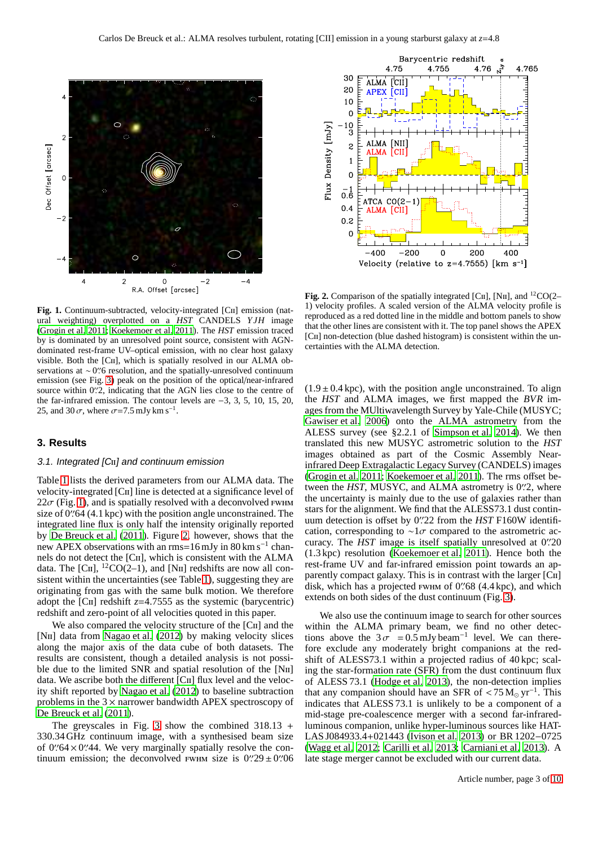

<span id="page-2-0"></span>Fig. 1. Continuum-subtracted, velocity-integrated [C<sub>II</sub>] emission (natural weighting) overplotted on a *HST* CANDELS *Y JH* image [\(Grogin et al. 2011](#page-9-28); [Koekemoer et al. 2011](#page-9-29)). The *HST* emission traced by is dominated by an unresolved point source, consistent with AGNdominated rest-frame UV–optical emission, with no clear host galaxy visible. Both the [CII], which is spatially resolved in our ALMA observations at ∼0″6 resolution, and the spatially-unresolved continuum emission (see Fig. [3\)](#page-3-0) peak on the position of the optical/near-infrared source within 0'.'2, indicating that the AGN lies close to the centre of the far-infrared emission. The contour levels are −3, 3, 5, 10, 15, 20, 25, and 30 $\sigma$ , where  $\sigma$ =7.5 mJy km s<sup>-1</sup>.

# **3. Results**

#### 3.1. Integrated [C<sub>II</sub>] and continuum emission

Table [1](#page-1-1) lists the derived parameters from our ALMA data. The velocity-integrated [Cii] line is detected at a significance level of  $22\sigma$  (Fig. [1\)](#page-2-0), and is spatially resolved with a deconvolved FWHM size of 0''64 (4.1 kpc) with the position angle unconstrained. The integrated line flux is only half the intensity originally reported by [De Breuck et al.](#page-8-4) [\(2011\)](#page-8-4). Figure [2,](#page-2-1) however, shows that the new APEX observations with an rms=16 mJy in 80 km s<sup>-1</sup> channels do not detect the [C<sub>II</sub>], which is consistent with the ALMA data. The  $[CII]$ ,  ${}^{12}CO(2-1)$ , and  $[NII]$  redshifts are now all consistent within the uncertainties (see Table [1\)](#page-1-1), suggesting they are originating from gas with the same bulk motion. We therefore adopt the [C<sub>II</sub>] redshift  $z=4.7555$  as the systemic (barycentric) redshift and zero-point of all velocities quoted in this paper.

We also compared the velocity structure of the [C<sub>II</sub>] and the [N<sub>II</sub>] data from [Nagao et al.](#page-9-23) [\(2012\)](#page-9-23) by making velocity slices along the major axis of the data cube of both datasets. The results are consistent, though a detailed analysis is not possible due to the limited SNR and spatial resolution of the [N<sub>II</sub>] data. We ascribe both the different [CII] flux level and the velocity shift reported by [Nagao et al.](#page-9-23) [\(2012\)](#page-9-23) to baseline subtraction problems in the  $3 \times$  narrower bandwidth APEX spectroscopy of [De Breuck et al. \(2011\)](#page-8-4).

The greyscales in Fig. [3](#page-3-0) show the combined  $318.13 +$ 330.34 GHz continuum image, with a synthesised beam size of 0''64 $\times$ 0''44. We very marginally spatially resolve the continuum emission; the deconvolved  $\overline{FWHM}$  size is  $0\frac{1}{2}9 \pm 0\frac{1}{2}06$ 



<span id="page-2-1"></span>**Fig. 2.** Comparison of the spatially integrated [C $\text{II}$ ], [N $\text{II}$ ], and <sup>12</sup>CO(2– 1) velocity profiles. A scaled version of the ALMA velocity profile is reproduced as a red dotted line in the middle and bottom panels to show that the other lines are consistent with it. The top panel shows the APEX [CII] non-detection (blue dashed histogram) is consistent within the uncertainties with the ALMA detection.

 $(1.9 \pm 0.4 \text{ kpc})$ , with the position angle unconstrained. To align the *HST* and ALMA images, we first mapped the *BVR* images from the MUltiwavelength Survey by Yale-Chile (MUSYC; [Gawiser et al. 2006\)](#page-8-15) onto the ALMA astrometry from the ALESS survey (see §2.2.1 of [Simpson et al. 2014](#page-9-30)). We then translated this new MUSYC astrometric solution to the *HST* images obtained as part of the Cosmic Assembly Nearinfrared Deep Extragalactic Legacy Survey (CANDELS) images [\(Grogin et al. 2011;](#page-9-28) [Koekemoer et al. 2011\)](#page-9-29). The rms offset between the *HST*, MUSYC, and ALMA astrometry is 0<sup>'</sup>.'2, where the uncertainty is mainly due to the use of galaxies rather than stars for the alignment. We find that the ALESS73.1 dust continuum detection is offset by 0′′ .22 from the *HST* F160W identification, corresponding to  $\sim 1\sigma$  compared to the astrometric accuracy. The *HST* image is itself spatially unresolved at 0′′ .20 (1.3 kpc) resolution [\(Koekemoer et al. 2011\)](#page-9-29). Hence both the rest-frame UV and far-infrared emission point towards an apparently compact galaxy. This is in contrast with the larger [Cii] disk, which has a projected fwhm of 0′′ .68 (4.4 kpc), and which extends on both sides of the dust continuum (Fig. [3\)](#page-3-0).

We also use the continuum image to search for other sources within the ALMA primary beam, we find no other detections above the  $3\sigma = 0.5$  mJy beam<sup>-1</sup> level. We can therefore exclude any moderately bright companions at the redshift of ALESS73.1 within a projected radius of 40 kpc; scaling the star-formation rate (SFR) from the dust continuum flux of ALESS 73.1 [\(Hodge et al. 2013\)](#page-9-24), the non-detection implies that any companion should have an SFR of  $\lt 75 \,\mathrm{M}_{\odot} \,\mathrm{yr}^{-1}$ . This indicates that ALESS 73.1 is unlikely to be a component of a mid-stage pre-coalescence merger with a second far-infraredluminous companion, unlike hyper-luminous sources like HAT-LAS J084933.4+021443 [\(Ivison et al. 2013\)](#page-9-31) or BR 1202−0725 [\(Wagg et al. 2012;](#page-9-32) [Carilli et al. 2013;](#page-8-16) [Carniani et al. 2013](#page-8-17)). A late stage merger cannot be excluded with our current data.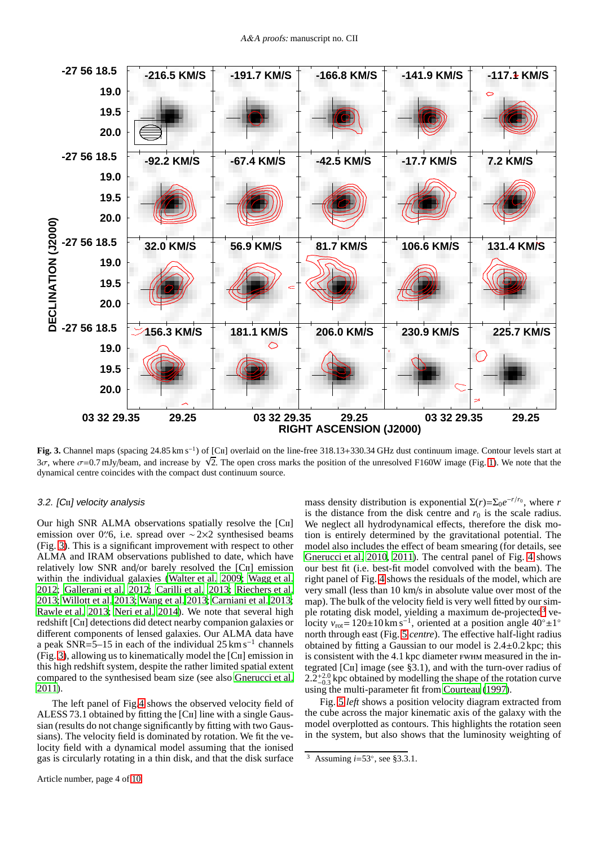

<span id="page-3-0"></span>Fig. 3. Channel maps (spacing 24.85 km s<sup>-1</sup>) of [Cɪɪ] overlaid on the line-free 318.13+330.34 GHz dust continuum image. Contour levels start at  $3\sigma$ , where  $\sigma$ =0.7 mJy/beam, and increase by  $\sqrt{2}$ . The open cross marks the position of the unresolved F160W image (Fig. [1\)](#page-2-0). We note that the dynamical centre coincides with the compact dust continuum source.

# 3.2. [CII] velocity analysis

Our high SNR ALMA observations spatially resolve the [Cii] emission over 0″6, i.e. spread over ∼2×2 synthesised beams (Fig. [3\)](#page-3-0). This is a significant improvement with respect to other ALMA and IRAM observations published to date, which have relatively low SNR and/or barely resolved the [Cii] emission within the individual galaxies [\(Walter et al. 2009](#page-9-33); [Wagg et al.](#page-9-32) [2012;](#page-9-32) [Gallerani et al. 2012](#page-8-18); [Carilli et al. 2013;](#page-8-16) [Riechers et](#page-9-13) al. [2013;](#page-9-13) [Willott et al. 2013;](#page-9-34) [Wang et al. 2013;](#page-9-14) [Carniani et al. 2013](#page-8-17); [Rawle et al. 2013;](#page-9-15) [Neri et al. 2014](#page-9-16)). We note that several high redshift [Cii] detections did detect nearby companion galaxies or different components of lensed galaxies. Our ALMA data have a peak SNR=5–15 in each of the individual 25 km s−<sup>1</sup> channels (Fig. [3\)](#page-3-0), allowing us to kinematically model the [Cii] emission in this high redshift system, despite the rather limited spatial extent compared to the synthesised beam size (see also [Gnerucci et al.](#page-8-19)  $2011$ ).

The left panel of Fig[.4](#page-4-0) shows the observed velocity field of ALESS 73.1 obtained by fitting the [C<sub>II</sub>] line with a single Gaussian (results do not change significantly by fitting with two Gaussians). The velocity field is dominated by rotation. We fit the velocity field with a dynamical model assuming that the ionised gas is circularly rotating in a thin disk, and that the disk surface

mass density distribution is exponential  $\Sigma(r) = \Sigma_0 e^{-r/r_0}$ , where *r* is the distance from the disk centre and  $r_0$  is the scale radius. We neglect all hydrodynamical effects, therefore the disk motion is entirely determined by the gravitational potential. The model also includes the effect of beam smearing (for details, see [Gnerucci et al. 2010,](#page-8-20) [2011\)](#page-8-19). The central panel of Fig. [4](#page-4-0) shows our best fit (i.e. best-fit model convolved with the beam). The right panel of Fig. [4](#page-4-0) shows the residuals of the model, which are very small (less than 10 km/s in absolute value over most of the map). The bulk of the velocity field is very well fitted by our sim-ple rotating disk model, yielding a maximum de-projected<sup>[3](#page-3-1)</sup> velocity  $v_{\text{rot}} = 120 \pm 10 \text{ km s}^{-1}$ , oriented at a position angle  $40^\circ \pm 1^\circ$ north through east (Fig. [5](#page-5-0) *centre*). The effective half-light radius obtained by fitting a Gaussian to our model is  $2.4 \pm 0.2$  kpc; this is consistent with the 4.1 kpc diameter fwhm measured in the integrated  $\lceil$ C<sub>II</sub> image (see §3.1), and with the turn-over radius of  $2.2^{+2.0}_{-0.3}$  kpc obtained by modelling the shape of the rotation curve using the multi-parameter fit from [Courteau](#page-8-21) [\(1997\)](#page-8-21).

Fig. [5](#page-5-0) *left* shows a position velocity diagram extracted from the cube across the major kinematic axis of the galaxy with the model overplotted as contours. This highlights the rotation seen in the system, but also shows that the luminosity weighting of

<span id="page-3-1"></span><sup>3</sup> Assuming *i*=53◦ , see §3.3.1.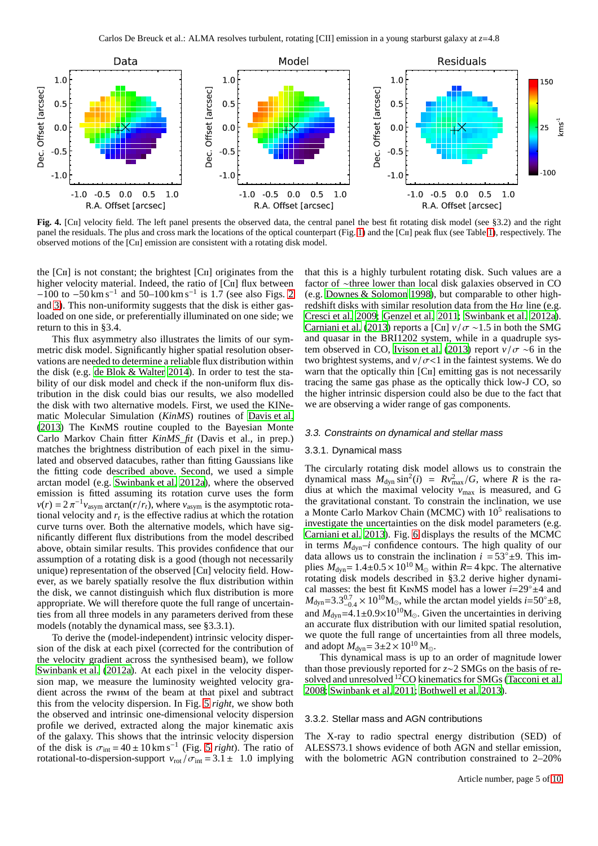

<span id="page-4-0"></span>**Fig. 4.** [Cii] velocity field. The left panel presents the observed data, the central panel the best fit rotating disk model (see §3.2) and the right panel the residuals. The plus and cross mark the locations of the optical counterpart (Fig. [1\)](#page-2-0) and the [Cii] peak flux (see Table [1\)](#page-1-1), respectively. The observed motions of the [Cii] emission are consistent with a rotating disk model.

the  $\lceil$ CII] is not constant; the brightest  $\lceil$ CII] originates from the higher velocity material. Indeed, the ratio of [CII] flux between  $-100$  to  $-50$  km s<sup>-1</sup> and  $50-100$  km s<sup>-1</sup> is 1.7 (see also Figs. [2](#page-2-1) and [3\)](#page-3-0). This non-uniformity suggests that the disk is either gasloaded on one side, or preferentially illuminated on one side; we return to this in §3.4.

This flux asymmetry also illustrates the limits of our symmetric disk model. Significantly higher spatial resolution observations are needed to determine a reliable flux distribution within the disk (e.g. [de Blok & Walter 2014\)](#page-8-22). In order to test the stability of our disk model and check if the non-uniform flux distribution in the disk could bias our results, we also modelled the disk with two alternative models. First, we used the KINematic Molecular Simulation (*KinMS*) routines of [Davis et al.](#page-8-23) [\(2013](#page-8-23)) The KinMS routine coupled to the Bayesian Monte Carlo Markov Chain fitter *KinMS\_fit* (Davis et al., in prep.) matches the brightness distribution of each pixel in the simulated and observed datacubes, rather than fitting Gaussians like the fitting code described above. Second, we used a simple arctan model (e.g. [Swinbank et al. 2012a\)](#page-9-35), where the observed emission is fitted assuming its rotation curve uses the form  $v(r) = 2 \pi^{-1} v_{\text{asym}}$  arctan( $r/r_t$ ), where  $v_{\text{asym}}$  is the asymptotic rotational velocity and  $r<sub>t</sub>$  is the effective radius at which the rotation curve turns over. Both the alternative models, which have significantly different flux distributions from the model described above, obtain similar results. This provides confidence that our assumption of a rotating disk is a good (though not necessarily unique) representation of the observed [Cii] velocity field. However, as we barely spatially resolve the flux distribution within the disk, we cannot distinguish which flux distribution is more appropriate. We will therefore quote the full range of uncertainties from all three models in any parameters derived from these models (notably the dynamical mass, see §3.3.1).

To derive the (model-independent) intrinsic velocity dispersion of the disk at each pixel (corrected for the contribution of the velocity gradient across the synthesised beam), we follow [Swinbank et al. \(2012a\)](#page-9-35). At each pixel in the velocity dispersion map, we measure the luminosity weighted velocity gradient across the fwhm of the beam at that pixel and subtract this from the velocity dispersion. In Fig. [5](#page-5-0) *right*, we show both the observed and intrinsic one-dimensional velocity dispersion profile we derived, extracted along the major kinematic axis of the galaxy. This shows that the intrinsic velocity dispersion of the disk is  $\sigma_{\text{int}} = 40 \pm 10 \text{ km s}^{-1}$  (Fig. [5](#page-5-0) *right*). The ratio of rotational-to-dispersion-support  $v_{\text{rot}}/\sigma_{\text{int}} = 3.1 \pm 1.0$  implying

that this is a highly turbulent rotating disk. Such values are a factor of ∼three lower than local disk galaxies observed in CO (e.g. [Downes & Solomon 1998\)](#page-8-24), but comparable to other highredshift disks with similar resolution data from the H $\alpha$  line (e.g. [Cresci et al. 2009;](#page-8-25) [Genzel et al. 2011;](#page-8-26) [Swinbank et al. 2012a\)](#page-9-35). [Carniani et al.](#page-8-17) [\(2013\)](#page-8-17) reports a [C<sub>II</sub>]  $v / \sigma \sim 1.5$  in both the SMG and quasar in the BRI1202 system, while in a quadruple sys-tem observed in CO, [Ivison et al.](#page-9-31) [\(2013\)](#page-9-31) report  $v / \sigma \sim 6$  in the two brightest systems, and  $v / \sigma < 1$  in the faintest systems. We do warn that the optically thin [C<sub>II</sub>] emitting gas is not necessarily tracing the same gas phase as the optically thick low-J CO, so the higher intrinsic dispersion could also be due to the fact that we are observing a wider range of gas components.

### 3.3. Constraints on dynamical and stellar mass

#### 3.3.1. Dynamical mass

The circularly rotating disk model allows us to constrain the dynamical mass  $M_{\text{dyn}} \sin^2(i) = Rv_{\text{max}}^2/G$ , where *R* is the radius at which the maximal velocity  $v_{\text{max}}$  is measured, and G the gravitational constant. To constrain the inclination, we use a Monte Carlo Markov Chain (MCMC) with 10<sup>5</sup> realisations to investigate the uncertainties on the disk model parameters (e.g. [Carniani et al. 2013\)](#page-8-17). Fig. [6](#page-6-0) displays the results of the MCMC in terms  $M_{\text{dyn}}-i$  confidence contours. The high quality of our data allows us to constrain the inclination  $i = 53^\circ \pm 9$ . This implies  $M_{\text{dyn}} = 1.4 \pm 0.5 \times 10^{10} \text{ M}_{\odot}$  within  $R = 4 \text{ kpc}$ . The alternative rotating disk models described in §3.2 derive higher dynamical masses: the best fit KinMS model has a lower *<sup>i</sup>*=29◦±4 and  $M_{\text{dyn}} = 3.3^{0.7}_{-0.4} \times 10^{10} \text{M}_{\odot}$ , while the arctan model yields *i*=50°±8,  $M_{dyn} = 3.5_{-0.4} \times 10^{4} \text{ M}_{\odot}$ , while the arctain model yields  $t = 50^{4}$ , and  $M_{dyn} = 4.1 \pm 0.9 \times 10^{10} \text{M}_{\odot}$ . Given the uncertainties in deriving an accurate flux distribution with our limited spatial resolution, we quote the full range of uncertainties from all three models, and adopt  $M_{\text{dyn}}=3\pm2\times10^{10}$  M<sub>☉</sub>.

This dynamical mass is up to an order of magnitude lower than those previously reported for *z*∼2 SMGs on the basis of resolved and unresolved  $^{12}$ CO kinematics for SMGs [\(Tacconi et al.](#page-9-36) [2008;](#page-9-36) [Swinbank et al. 2011;](#page-9-37) [Bothwell et al. 2013\)](#page-8-27).

# 3.3.2. Stellar mass and AGN contributions

The X-ray to radio spectral energy distribution (SED) of ALESS73.1 shows evidence of both AGN and stellar emission, with the bolometric AGN contribution constrained to 2–20%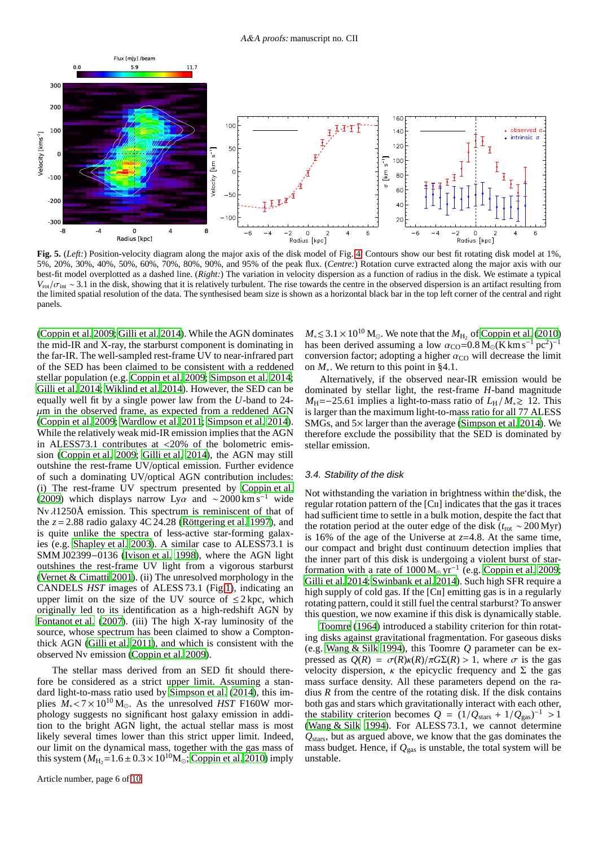

<span id="page-5-0"></span>**Fig. 5.** (*Left:*) Position-velocity diagram along the major axis of the disk model of Fig. [4.](#page-4-0) Contours show our best fit rotating disk model at 1%, 5%, 20%, 30%, 40%, 50%, 60%, 70%, 80%, 90%, and 95% of the peak flux. (*Centre:*) Rotation curve extracted along the major axis with our best-fit model overplotted as a dashed line. (*Right:*) The variation in velocity dispersion as a function of radius in the disk. We estimate a typical  $V_{\text{rot}}/\sigma_{\text{int}} \sim 3.1$  in the disk, showing that it is relatively turbulent. The rise towards the centre in the observed dispersion is an artifact resulting from the limited spatial resolution of the data. The synthesised beam size is shown as a horizontal black bar in the top left corner of the central and right panels.

[\(Coppin et al. 2009](#page-8-11); [Gilli et al. 2014\)](#page-8-14). While the AGN dominates the mid-IR and X-ray, the starburst component is dominating in the far-IR. The well-sampled rest-frame UV to near-infrared part of the SED has been claimed to be consistent with a reddened stellar population (e.g. [Coppin et al. 2009](#page-8-11); [Simpson et al. 2014](#page-9-30); [Gilli et al. 2014;](#page-8-14) [Wiklind et al. 2014\)](#page-9-38). However, the SED can be equally well fit by a single power law from the *U*-band to 24-  $\mu$ m in the observed frame, as expected from a reddened AGN [\(Coppin et al. 2009](#page-8-11); [Wardlow et al. 2011;](#page-9-22) [Simpson et al. 2014](#page-9-30)). While the relatively weak mid-IR emission implies that the AGN in ALESS73.1 contributes at <20% of the bolometric emission [\(Coppin et al. 2009;](#page-8-11) [Gilli et al. 2014\)](#page-8-14), the AGN may still outshine the rest-frame UV/optical emission. Further evidence of such a dominating UV/optical AGN contribution includes: (i) The rest-frame UV spectrum presented by [Coppin et al.](#page-8-11) [\(2009](#page-8-11)) which displays narrow Lyα and ~2000 km s<sup>-1</sup> wide Nv λ1250Å emission. This spectrum is reminiscent of that of the  $z = 2.88$  radio galaxy  $4C\overline{2}4.28$  [\(Röttgering et al. 1997\)](#page-9-39), and is quite unlike the spectra of less-active star-forming galaxies (e.g. [Shapley et al. 2003](#page-9-40)). A similar case to ALESS73.1 is SMM J02399−0136 [\(Ivison et al. 1998\)](#page-9-41), where the AGN light outshines the rest-frame UV light from a vigorous starburst [\(Vernet & Cimatti 2001\)](#page-9-42). (ii) The unresolved morphology in the CANDELS *HST* images of ALESS 73.1 (Fig[.1\)](#page-2-0), indicating an upper limit on the size of the UV source of  $\leq 2$  kpc, which originally led to its identification as a high-redshift AGN by [Fontanot et al.](#page-8-9) [\(2007\)](#page-8-9). (iii) The high X-ray luminosity of the source, whose spectrum has been claimed to show a Comptonthick AGN [\(Gilli et al. 2011](#page-8-10)), and which is consistent with the observed Nv emission [\(Coppin et al. 2009\)](#page-8-11).

The stellar mass derived from an SED fit should therefore be considered as a strict upper limit. Assuming a standard light-to-mass ratio used by [Simpson et al. \(2014\)](#page-9-30), this implies  $M_* < 7 \times 10^{10}$  M<sub>☉</sub>. As the unresolved *HST* F160W morphology suggests no significant host galaxy emission in addition to the bright AGN light, the actual stellar mass is most likely several times lower than this strict upper limit. Indeed, our limit on the dynamical mass, together with the gas mass of this system ( $M_{\text{H}_2}$ =1.6 ± 0.3 × 10<sup>10</sup>M<sub>☉</sub>; [Coppin et al. 2010\)](#page-8-12) imply

 $M_* \leq 3.1 \times 10^{10}$  M<sub>☉</sub>. We note that the  $M_{\text{H}_2}$  of [Coppin et al. \(2010](#page-8-12)) has been derived assuming a low  $\alpha_{\text{CO}} = 0.8 \text{ M}_{\odot} (\text{K km s}^{-1} \text{ pc}^2)^{-1}$ conversion factor; adopting a higher  $\alpha_{\rm CO}$  will decrease the limit on *M*∗. We return to this point in §4.1.

Alternatively, if the observed near-IR emission would be dominated by stellar light, the rest-frame *H*-band magnitude  $M_{\text{H}}$ =−25.61 implies a light-to-mass ratio of  $L_{\text{H}}/M_{\text{*}} \ge 12$ . This is larger than the maximum light-to-mass ratio for all 77 ALESS SMGs, and 5× larger than the average [\(Simpson et al. 2014\)](#page-9-30). We therefore exclude the possibility that the SED is dominated by stellar emission.

# 3.4. Stability of the disk

Not withstanding the variation in brightness within the disk, the regular rotation pattern of the  $\lceil$ C<sub>II</sub> indicates that the gas it traces had sufficient time to settle in a bulk motion, despite the fact that the rotation period at the outer edge of the disk (*t*rot ∼ 200 Myr) is 16% of the age of the Universe at  $z=4.8$ . At the same time, our compact and bright dust continuum detection implies that the inner part of this disk is undergoing a violent burst of starformation with a rate of  $1000 M_{\odot} yr^{-1}$  (e.g. [Coppin et al. 2009;](#page-8-11) [Gilli et al. 2014;](#page-8-14) [Swinbank et al. 2014](#page-9-25)). Such high SFR require a high supply of cold gas. If the [C<sub>II</sub>] emitting gas is in a regularly rotating pattern, could it still fuel the central starburst? To answer this question, we now examine if this disk is dynamically stable.

[Toomre \(1964\)](#page-9-43) introduced a stability criterion for thin rotating disks against gravitational fragmentation. For gaseous disks (e.g. [Wang & Silk 1994\)](#page-9-44), this Toomre *Q* parameter can be expressed as  $Q(R) = \sigma(R)\kappa(R)/\pi G\Sigma(R) > 1$ , where σ is the gas velocity dispersion,  $\kappa$  the epicyclic frequency and  $\Sigma$  the gas mass surface density. All these parameters depend on the radius *R* from the centre of the rotating disk. If the disk contains both gas and stars which gravitationally interact with each other, the stability criterion becomes  $Q = (1/Q<sub>stars</sub> + 1/Q<sub>gas</sub>)^{-1} > 1$ [\(Wang & Silk 1994\)](#page-9-44). For ALESS 73.1, we cannot determine *Q*stars, but as argued above, we know that the gas dominates the mass budget. Hence, if  $Q_{\text{gas}}$  is unstable, the total system will be unstable.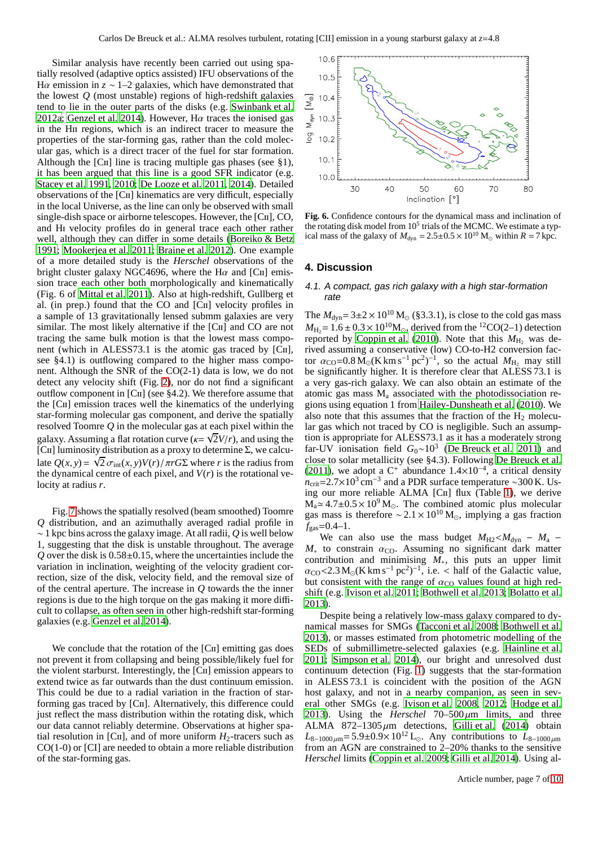Similar analysis have recently been carried out using spatially resolved (adaptive optics assisted) IFU observations of the H $\alpha$  emission in  $z \sim 1-2$  galaxies, which have demonstrated that the lowest *Q* (most unstable) regions of high-redshift galaxies tend to lie in the outer parts of the disks (e.g. [Swinbank et al.](#page-9-35) [2012a](#page-9-35); [Genzel et al. 2014\)](#page-8-28). However,  $H\alpha$  traces the ionised gas in the Hii regions, which is an indirect tracer to measure the properties of the star-forming gas, rather than the cold molecular gas, which is a direct tracer of the fuel for star formation. Although the  $\lceil$ C<sub>II</sub> line is tracing multiple gas phases (see §1), it has been argued that this line is a good SFR indicator (e.g. [Stacey et al. 1991](#page-9-1), [2010;](#page-9-6) [De Looze et al. 2011,](#page-8-29) [2014](#page-8-30)). Detailed observations of the [Cii] kinematics are very difficult, especially in the local Universe, as the line can only be observed with small single-dish space or airborne telescopes. However, the [C<sub>II</sub>], CO, and Hi velocity profiles do in general trace each other rather well, although they can differ in some details [\(Boreiko & Betz](#page-8-31) [1991;](#page-8-31) [Mookerjea et al. 2011](#page-9-45); [Braine et al. 2012](#page-8-32)). One example of a more detailed study is the *Herschel* observations of the bright cluster galaxy NGC4696, where the H $\alpha$  and [CII] emission trace each other both morphologically and kinematically (Fig. 6 of [Mittal et al. 2011\)](#page-9-46). Also at high-redshift, Gullberg et al. (in prep.) found that the CO and [Cii] velocity profiles in a sample of 13 gravitationally lensed submm galaxies are very similar. The most likely alternative if the [C<sub>II</sub>] and CO are not tracing the same bulk motion is that the lowest mass component (which in ALESS73.1 is the atomic gas traced by [CII], see §4.1) is outflowing compared to the higher mass component. Although the SNR of the CO(2-1) data is low, we do not detect any velocity shift (Fig. [2\)](#page-2-1), nor do not find a significant outflow component in [Cii] (see §4.2). We therefore assume that the [Cii] emission traces well the kinematics of the underlying star-forming molecular gas component, and derive the spatially resolved Toomre *Q* in the molecular gas at each pixel within the galaxy. Assuming a flat rotation curve ( $\kappa = \sqrt{2}V/r$ ), and using the [CII] luminosity distribution as a proxy to determine  $\Sigma$ , we calculate  $Q(x, y) = \sqrt{2} \sigma_{int}(x, y) V(r) / \pi rG\Sigma$  where *r* is the radius from the dynamical centre of each pixel, and  $V(r)$  is the rotational velocity at radius *r*.

Fig. [7](#page-7-0) shows the spatially resolved (beam smoothed) Toomre *Q* distribution, and an azimuthally averaged radial profile in ∼ 1 kpc bins across the galaxy image. At all radii, *Q* is well below 1, suggesting that the disk is unstable throughout. The average  $Q$  over the disk is  $0.58\pm0.15$ , where the uncertainties include the variation in inclination, weighting of the velocity gradient correction, size of the disk, velocity field, and the removal size of of the central aperture. The increase in *Q* towards the the inner regions is due to the high torque on the gas making it more difficult to collapse, as often seen in other high-redshift star-forming galaxies (e.g. [Genzel et al. 2014\)](#page-8-28).

We conclude that the rotation of the [C<sub>II</sub>] emitting gas does not prevent it from collapsing and being possible/likely fuel for the violent starburst. Interestingly, the [Cii] emission appears to extend twice as far outwards than the dust continuum emission. This could be due to a radial variation in the fraction of starforming gas traced by [Cii]. Alternatively, this difference could just reflect the mass distribution within the rotating disk, which our data cannot reliably determine. Observations at higher spatial resolution in [C<sub>II</sub>], and of more uniform  $H_2$ -tracers such as CO(1-0) or [CI] are needed to obtain a more reliable distribution of the star-forming gas.



<span id="page-6-0"></span>**Fig. 6.** Confidence contours for the dynamical mass and inclination of the rotating disk model from  $10^5$  trials of the MCMC. We estimate a typical mass of the galaxy of  $M_{\text{dyn}} = 2.5 \pm 0.5 \times 10^{10} \text{ M}_{\odot}$  within  $R = 7 \text{ kpc}$ .

## **4. Discussion**

# 4.1. <sup>A</sup> compact, gas rich galaxy with <sup>a</sup> high star-formation rate

The  $M_{\text{dyn}} = 3 \pm 2 \times 10^{10} \,\text{M}_\odot$  (§3.3.1), is close to the cold gas mass  $M_{\text{H}_2} = 1.6 \pm 0.3 \times 10^{10} \text{M}_{\odot}$ , derived from the <sup>12</sup>CO(2–1) detection reported by [Coppin et al.](#page-8-12) [\(2010\)](#page-8-12). Note that this  $M_{\rm H_2}$  was derived assuming a conservative (low) CO-to-H2 conversion factor  $\alpha_{\text{CO}} = 0.8 \,\text{M}_\odot (\text{K km s}^{-1} \text{ pc}^2)^{-1}$ , so the actual  $M_{\text{H}_2}$  may still be significantly higher. It is therefore clear that ALESS 73.1 is a very gas-rich galaxy. We can also obtain an estimate of the atomic gas mass  $M_a$  associated with the photodissociation regions using equation 1 from [Hailey-Dunsheath et al. \(2010](#page-9-5)). We also note that this assumes that the fraction of the  $H_2$  molecular gas which not traced by CO is negligible. Such an assumption is appropriate for ALESS73.1 as it has a moderately strong far-UV ionisation field *<sup>G</sup>*0∼10<sup>3</sup> [\(De Breuck et al. 2011\)](#page-8-4) and close to solar metallicity (see §4.3). Following [De Breuck et al.](#page-8-4) [\(2011\)](#page-8-4), we adopt a C<sup>+</sup> abundance  $1.4 \times 10^{-4}$ , a critical density  $n_{\text{crit}}$ =2.7×10<sup>3</sup> cm<sup>-3</sup> and a PDR surface temperature ~300 K. Us-ing our more reliable ALMA [C<sub>II</sub>] flux (Table [1\)](#page-1-1), we derive  $M_a \approx 4.7 \pm 0.5 \times 10^9$  M<sub>o</sub>. The combined atomic plus molecular gas mass is therefore  $\sim 2.1 \times 10^{10}$  M<sub>☉</sub>, implying a gas fraction  $f_{\rm gas}$ =0.4–1.

We can also use the mass budget  $M_{H2} < M_{dyn} - M_{a}$  –  $M_*$  to constrain  $\alpha_{\rm CO}$ . Assuming no significant dark matter contribution and minimising *M*∗, this puts an upper limit  $\alpha_{\rm CO}$ <2.3 M<sub>☉</sub>(K km s<sup>-1</sup> pc<sup>2</sup>)<sup>-1</sup>, i.e. < half of the Galactic value, but consistent with the range of  $\alpha_{\rm CO}$  values found at high redshift (e.g. [Ivison et al. 2011;](#page-9-47) [Bothwell et al. 2013;](#page-8-27) [Bolatto](#page-8-33) et al. [2013\)](#page-8-33).

Despite being a relatively low-mass galaxy compared to dynamical masses for SMGs [\(Tacconi et al. 2008;](#page-9-36) [Bothwell et al.](#page-8-27) [2013\)](#page-8-27), or masses estimated from photometric modelling of the SEDs of submillimetre-selected galaxies (e.g. [Hainline et](#page-9-48) al. [2011;](#page-9-48) [Simpson et al. 2014\)](#page-9-30), our bright and unresolved dust continuum detection (Fig. [1\)](#page-2-0) suggests that the star-formation in ALESS 73.1 is coincident with the position of the AGN host galaxy, and not in a nearby companion, as seen in several other SMGs (e.g. [Ivison et al. 2008,](#page-9-49) [2012](#page-9-50); [Hodge et al.](#page-9-24) [2013\)](#page-9-24). Using the *Herschel*  $70-500 \mu m$  limits, and three ALMA  $872-1305 \mu m$  detections, [Gilli et al. \(2014\)](#page-8-14) obtain  $L_{8-1000 \mu m}$ = 5.9±0.9×10<sup>12</sup> L<sub>☉</sub>. Any contributions to  $L_{8-1000 \mu m}$ from an AGN are constrained to 2–20% thanks to the sensitive *Herschel* limits [\(Coppin et al. 2009;](#page-8-11) [Gilli et al. 2014\)](#page-8-14). Using al-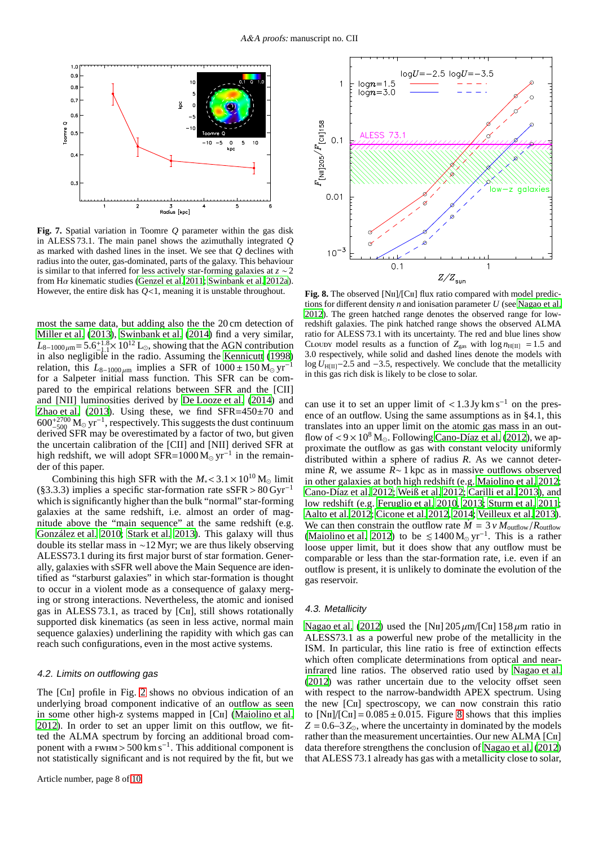

<span id="page-7-0"></span>**Fig. 7.** Spatial variation in Toomre *Q* parameter within the gas disk in ALESS 73.1. The main panel shows the azimuthally integrated *Q* as marked with dashed lines in the inset. We see that *Q* declines with radius into the outer, gas-dominated, parts of the galaxy. This behaviour is similar to that inferred for less actively star-forming galaxies at *z* ∼ 2 from Hα kinematic studies [\(Genzel et al. 2011](#page-8-26); [Swinbank et al. 2012a\)](#page-9-35). However, the entire disk has *Q*<1, meaning it is unstable throughout.

most the same data, but adding also the the 20 cm detection of [Miller et al. \(2013\)](#page-9-51), [Swinbank et al. \(2014\)](#page-9-25) find a very similar,  $L_{8-1000\,\mu\text{m}} = 5.6^{+1.8}_{-1.1} \times 10^{12} \text{ L}_{\odot}$ , showing that the AGN contribution  $\mathcal{L}_{8-1000\,\mu\text{m}}$  = 5.0-<sub>1.1</sub> × 10  $^{\circ}$  L<sub>©</sub>, showing that the AGN contribution<br>in also negligible in the radio. Assuming the [Kennicutt](#page-9-52) [\(1998\)](#page-9-52) relation, this  $L_{8-1000 \mu m}$  implies a SFR of  $1000 \pm 150$  M<sub>☉</sub> yr<sup>-1</sup> for a Salpeter initial mass function. This SFR can be compared to the empirical relations between SFR and the [CII] and [NII] luminosities derived by [De Looze et al. \(2014\)](#page-8-30) and [Zhao et al. \(2013](#page-9-53)). Using these, we find  $SFR = 450 \pm 70$  and  $600^{+2700}_{-500}$   $M_{\odot}$  yr<sup>-1</sup>, respectively. This suggests the dust continuum derived SFR may be overestimated by a factor of two, but given the uncertain calibration of the [CII] and [NII] derived SFR at high redshift, we will adopt  $SFR=1000 M_{\odot} yr^{-1}$  in the remainder of this paper.

Combining this high SFR with the  $M_* < 3.1 \times 10^{10}$  M<sub>☉</sub> limit (§3.3.3) implies a specific star-formation rate sSFR >  $80 \,\text{Gyr}^{-1}$ which is significantly higher than the bulk "normal" star-forming galaxies at the same redshift, i.e. almost an order of magnitude above the "main sequence" at the same redshift (e.g. [González et al. 2010](#page-9-54); [Stark et al. 2013\)](#page-9-55). This galaxy will thus double its stellar mass in ∼12 Myr; we are thus likely observing ALESS73.1 during its first major burst of star formation. Generally, galaxies with sSFR well above the Main Sequence are identified as "starburst galaxies" in which star-formation is thought to occur in a violent mode as a consequence of galaxy merging or strong interactions. Nevertheless, the atomic and ionised gas in ALESS 73.1, as traced by [Cii], still shows rotationally supported disk kinematics (as seen in less active, normal main sequence galaxies) underlining the rapidity with which gas can reach such configurations, even in the most active systems.

# 4.2. Limits on outflowing gas

The [CII] profile in Fig. [2](#page-2-1) shows no obvious indication of an underlying broad component indicative of an outflow as seen in some other high-z systems mapped in [C<sub>II</sub>] [\(Maiolino et al.](#page-9-56) [2012\)](#page-9-56). In order to set an upper limit on this outflow, we fitted the ALMA spectrum by forcing an additional broad component with a  $F_{\text{WHM}} > 500 \text{ km s}^{-1}$ . This additional component is not statistically significant and is not required by the fit, but we



<span id="page-7-1"></span>**Fig. 8.** The observed [N<sub>II</sub>]/[C<sub>II</sub>] flux ratio compared with model predictions for different density *n* and ionisation parameter *U* (see [Nagao et al.](#page-9-23) [2012](#page-9-23)). The green hatched range denotes the observed range for lowredshift galaxies. The pink hatched range shows the observed ALMA ratio for ALESS 73.1 with its uncertainty. The red and blue lines show CLOUDY model results as a function of  $Z_{\text{gas}}$  with  $\log n_{\text{H[II]}} = 1.5$  and 3.0 respectively, while solid and dashed lines denote the models with log *U*<sub>H[II]</sub>−2.5 and −3.5, respectively. We conclude that the metallicity in this gas rich disk is likely to be close to solar.

can use it to set an upper limit of  $\lt 1.3$  Jy km s<sup>-1</sup> on the presence of an outflow. Using the same assumptions as in §4.1, this translates into an upper limit on the atomic gas mass in an outflow of  $< 9 \times 10^8$  M<sub>o</sub>. Following [Cano-Díaz et al. \(2012\)](#page-8-34), we approximate the outflow as gas with constant velocity uniformly distributed within a sphere of radius *R*. As we cannot determine *R*, we assume *R*∼ 1 kpc as in massive outflows observed in other galaxies at both high redshift (e.g. [Maiolino et al.](#page-9-56) [2012;](#page-9-56) [Cano-Díaz et al. 2012;](#page-8-34) [Weiß et al. 2012;](#page-9-57) [Carilli et al. 2013\)](#page-8-16), and low redshift (e.g. [Feruglio et al. 2010,](#page-8-35) [2013](#page-8-36); [Sturm et al. 2011;](#page-9-58) [Aalto et al. 2012](#page-8-37); [Cicone et al. 2012](#page-8-38), [2014;](#page-8-39) [Veilleux et al. 2013\)](#page-9-59). We can then constrain the outflow rate  $\dot{M} = 3 v M_{\text{outflow}}/R_{\text{outflow}}$ [\(Maiolino et al. 2012\)](#page-9-56) to be  $\leq 1400 \,\mathrm{M}_{\odot} \,\mathrm{yr}^{-1}$ . This is a rather loose upper limit, but it does show that any outflow must be comparable or less than the star-formation rate, i.e. even if an outflow is present, it is unlikely to dominate the evolution of the gas reservoir.

# 4.3. Metallicity

[Nagao et al. \(2012\)](#page-9-23) used the [N<sub>II</sub>] 205  $\mu$ m/[C<sub>II</sub>] 158  $\mu$ m ratio in ALESS73.1 as a powerful new probe of the metallicity in the ISM. In particular, this line ratio is free of extinction effects which often complicate determinations from optical and nearinfrared line ratios. The observed ratio used by [Nagao et al.](#page-9-23) [\(2012\)](#page-9-23) was rather uncertain due to the velocity offset seen with respect to the narrow-bandwidth APEX spectrum. Using the new [Cii] spectroscopy, we can now constrain this ratio to  $[NII]/[CII] = 0.085 \pm 0.015$ . Figure [8](#page-7-1) shows that this implies  $Z = 0.6 - 3 Z_{\odot}$ , where the uncertainty in dominated by the models rather than the measurement uncertainties. Our new ALMA [Cii] data therefore strengthens the conclusion of [Nagao et al. \(2012](#page-9-23)) that ALESS 73.1 already has gas with a metallicity close to solar,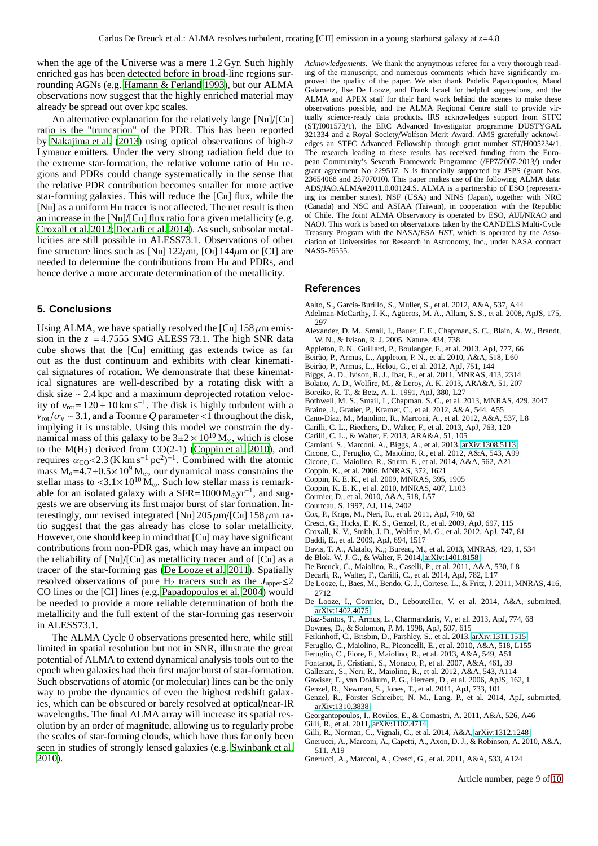when the age of the Universe was a mere 1.2 Gyr. Such highly enriched gas has been detected before in broad-line regions surrounding AGNs (e.g. [Hamann & Ferland 1993](#page-9-60)), but our ALMA observations now suggest that the highly enriched material may already be spread out over kpc scales.

An alternative explanation for the relatively large [NII]/[CII] ratio is the "truncation" of the PDR. This has been reported by [Nakajima et al. \(2013\)](#page-9-61) using optical observations of high-z Lyman $\alpha$  emitters. Under the very strong radiation field due to the extreme star-formation, the relative volume ratio of Hii regions and PDRs could change systematically in the sense that the relative PDR contribution becomes smaller for more active star-forming galaxies. This will reduce the [C $\pi$ ] flux, while the [N<sub>II</sub>] as a uniform H<sub>II</sub> tracer is not affected. The net result is then an increase in the  $[N<sub>II</sub>]/[C<sub>II</sub>]$  flux ratio for a given metallicity (e.g. [Croxall et al. 2012;](#page-8-40) [Decarli et al. 2014](#page-8-41)). As such, subsolar metallicities are still possible in ALESS73.1. Observations of other fine structure lines such as [N<sub>II</sub>]  $122\mu$ m, [O<sub>I</sub>]  $144\mu$ m or [CI] are needed to determine the contributions from Hii and PDRs, and hence derive a more accurate determination of the metallicity.

# **5. Conclusions**

Using ALMA, we have spatially resolved the [C $\text{II}$ ] 158  $\mu$ m emission in the  $z = 4.7555$  SMG ALESS 73.1. The high SNR data cube shows that the [Cii] emitting gas extends twice as far out as the dust continuum and exhibits with clear kinematical signatures of rotation. We demonstrate that these kinematical signatures are well-described by a rotating disk with a disk size ∼2.4 kpc and a maximum deprojected rotation velocity of  $v_{\text{rot}} = 120 \pm 10 \text{ km s}^{-1}$ . The disk is highly turbulent with a  $v_{\text{rot}}/\sigma_v \sim 3.1$ , and a Toomre *Q* parameter <1 throughout the disk, implying it is unstable. Using this model we constrain the dynamical mass of this galaxy to be  $3\pm2\times10^{10}$  M<sub>o</sub>, which is close to the  $M(H<sub>2</sub>)$  derived from CO(2-1) [\(Coppin et al. 2010\)](#page-8-12), and requires  $\alpha_{\text{CO}}$ <2.3 (K km s<sup>-1</sup> pc<sup>2</sup>)<sup>-1</sup>. Combined with the atomic mass  $M_a=4.7\pm0.5\times10^9$  M<sub>☉</sub>, our dynamical mass constrains the stellar mass to  $\lt3.1\times10^{10}$  M<sub>☉</sub>. Such low stellar mass is remarkable for an isolated galaxy with a SFR=1000  $M_{\odot}yr^{-1}$ , and suggests we are observing its first major burst of star formation. Interestingly, our revised integrated [N<sub>II</sub>]  $205 \mu m/[C_{II}]$  158  $\mu$ m ratio suggest that the gas already has close to solar metallicity. However, one should keep in mind that  $|C_{II}|$  may have significant contributions from non-PDR gas, which may have an impact on the reliability of  $[NII]/[CII]$  as metallicity tracer and of  $[CII]$  as a tracer of the star-forming gas [\(De Looze et al. 2011\)](#page-8-29). Spatially resolved observations of pure H<sub>2</sub> tracers such as the  $J_{\text{upper}} \leq 2$ CO lines or the [CI] lines (e.g. [Papadopoulos et al. 2004](#page-9-62)) would be needed to provide a more reliable determination of both the metallicity and the full extent of the star-forming gas reservoir in ALESS73.1.

The ALMA Cycle 0 observations presented here, while still limited in spatial resolution but not in SNR, illustrate the great potential of ALMA to extend dynamical analysis tools out to the epoch when galaxies had their first major burst of star-formation. Such observations of atomic (or molecular) lines can be the only way to probe the dynamics of even the highest redshift galaxies, which can be obscured or barely resolved at optical/near-IR wavelengths. The final ALMA array will increase its spatial resolution by an order of magnitude, allowing us to regularly probe the scales of star-forming clouds, which have thus far only been seen in studies of strongly lensed galaxies (e.g. [Swinbank et al.](#page-9-63) [2010\)](#page-9-63).

*Acknowledgements.* We thank the anynymous referee for a very thorough reading of the manuscript, and numerous comments which have significantly improved the quality of the paper. We also thank Padelis Papadopoulos, Maud Galametz, Ilse De Looze, and Frank Israel for helpful suggestions, and the ALMA and APEX staff for their hard work behind the scenes to make these observations possible, and the ALMA Regional Centre staff to provide virtually science-ready data products. IRS acknowledges support from STFC (ST/I001573/1), the ERC Advanced Investigator programme DUSTYGAL 321334 and a Royal Society/Wolfson Merit Award. AMS gratefully acknowledges an STFC Advanced Fellowship through grant number ST/H005234/1. The research leading to these results has received funding from the European Community's Seventh Framework Programme (/FP7/2007-2013/) under grant agreement No 229517. N is financially supported by JSPS (grant Nos. 23654068 and 25707010). This paper makes use of the following ALMA data: ADS/JAO.ALMA#2011.0.00124.S. ALMA is a partnership of ESO (representing its member states), NSF (USA) and NINS (Japan), together with NRC (Canada) and NSC and ASIAA (Taiwan), in cooperation with the Republic of Chile. The Joint ALMA Observatory is operated by ESO, AUI/NRAO and NAOJ. This work is based on observations taken by the CANDELS Multi-Cycle Treasury Program with the NASA/ESA *HST*, which is operated by the Association of Universities for Research in Astronomy, Inc., under NASA contract NAS5-26555.

## **References**

- <span id="page-8-37"></span>Aalto, S., Garcia-Burillo, S., Muller, S., et al. 2012, A&A, 537, A44
- Adelman-McCarthy, J. K., Agüeros, M. A., Allam, S. S., et al. 2008, ApJS, 175, 297
- <span id="page-8-7"></span>Alexander, D. M., Smail, I., Bauer, F. E., Chapman, S. C., Blain, A. W., Brandt, W. N., & Ivison, R. J. 2005, Nature, 434, 738
- <span id="page-8-1"></span>Appleton, P. N., Guillard, P., Boulanger, F., et al. 2013, ApJ, 777, 66
- Beirão, P., Armus, L., Appleton, P. N., et al. 2010, A&A, 518, L60
- <span id="page-8-2"></span>Beirão, P., Armus, L., Helou, G., et al. 2012, ApJ, 751, 144
- <span id="page-8-13"></span>Biggs, A. D., Ivison, R. J., Ibar, E., et al. 2011, MNRAS, 413, 2314
- <span id="page-8-33"></span>Bolatto, A. D., Wolfire, M., & Leroy, A. K. 2013, ARA&A, 51, 207
- <span id="page-8-31"></span>Boreiko, R. T., & Betz, A. L. 1991, ApJ, 380, L27
- <span id="page-8-27"></span>Bothwell, M. S., Smail, I., Chapman, S. C., et al. 2013, MNRAS, 429, 3047
- <span id="page-8-32"></span>Braine, J., Gratier, P., Kramer, C., et al. 2012, A&A, 544, A55
- <span id="page-8-34"></span>Cano-Díaz, M., Maiolino, R., Marconi, A., et al. 2012, A&A, 537, L8
- <span id="page-8-16"></span>Carilli, C. L., Riechers, D., Walter, F., et al. 2013, ApJ, 763, 120
- <span id="page-8-0"></span>Carilli, C. L., & Walter, F. 2013, ARA&A, 51, 105
- <span id="page-8-17"></span>Carniani, S., Marconi, A., Biggs, A., et al. 2013, [arXiv:1308.5113](http://arxiv.org/abs/1308.5113)
- <span id="page-8-38"></span>Cicone, C., Feruglio, C., Maiolino, R., et al. 2012, A&A, 543, A99
- <span id="page-8-39"></span>Cicone, C., Maiolino, R., Sturm, E., et al. 2014, A&A, 562, A21
- Coppin, K., et al. 2006, MNRAS, 372, 1621
- <span id="page-8-11"></span>Coppin, K. E. K., et al. 2009, MNRAS, 395, 1905
- <span id="page-8-12"></span>Coppin, K. E. K., et al. 2010, MNRAS, 407, L103
- Cormier, D., et al. 2010, A&A, 518, L57
- <span id="page-8-21"></span>Courteau, S. 1997, AJ, 114, 2402
- <span id="page-8-5"></span>Cox, P., Krips, M., Neri, R., et al. 2011, ApJ, 740, 63
- <span id="page-8-25"></span>Cresci, G., Hicks, E. K. S., Genzel, R., et al. 2009, ApJ, 697, 115
- <span id="page-8-40"></span>Croxall, K. V., Smith, J. D., Wolfire, M. G., et al. 2012, ApJ, 747, 81
- Daddi, E., et al. 2009, ApJ, 694, 1517
- <span id="page-8-23"></span>Davis, T. A., Alatalo, K.,; Bureau, M., et al. 2013, MNRAS, 429, 1, 534
- <span id="page-8-22"></span>de Blok, W. J. G., & Walter, F. 2014, [arXiv:1401.8158](http://arxiv.org/abs/1401.8158)
- <span id="page-8-4"></span>De Breuck, C., Maiolino, R., Caselli, P., et al. 2011, A&A, 530, L8
- <span id="page-8-41"></span>Decarli, R., Walter, F., Carilli, C., et al. 2014, ApJ, 782, L17
- <span id="page-8-29"></span>De Looze, I., Baes, M., Bendo, G. J., Cortese, L., & Fritz, J. 2011, MNRAS, 416, 2712
- <span id="page-8-30"></span>De Looze, I., Cormier, D., Lebouteiller, V. et al. 2014, A&A, submitted, [arXiv:1402.4075](http://arxiv.org/abs/1402.4075)
- <span id="page-8-6"></span>Díaz-Santos, T., Armus, L., Charmandaris, V., et al. 2013, ApJ, 774, 68
- <span id="page-8-24"></span>Downes, D., & Solomon, P. M. 1998, ApJ, 507, 615
- <span id="page-8-3"></span>Ferkinhoff, C., Brisbin, D., Parshley, S., et al. 2013, [arXiv:1311.1515](http://arxiv.org/abs/1311.1515)

<span id="page-8-35"></span>Feruglio, C., Maiolino, R., Piconcelli, E., et al. 2010, A&A, 518, L155

- <span id="page-8-36"></span>Feruglio, C., Fiore, F., Maiolino, R., et al. 2013, A&A, 549, A51
- <span id="page-8-9"></span>Fontanot, F., Cristiani, S., Monaco, P., et al. 2007, A&A, 461, 39
- <span id="page-8-18"></span>Gallerani, S., Neri, R., Maiolino, R., et al. 2012, A&A, 543, A114
- <span id="page-8-15"></span>Gawiser, E., van Dokkum, P. G., Herrera, D., et al. 2006, ApJS, 162, 1
- <span id="page-8-26"></span>Genzel, R., Newman, S., Jones, T., et al. 2011, ApJ, 733, 101
- <span id="page-8-28"></span>Genzel, R., Förster Schreiber, N. M., Lang, P., et al. 2014, ApJ, submitted, [arXiv:1310.3838](http://arxiv.org/abs/1310.3838)
- <span id="page-8-8"></span>Georgantopoulos, I., Rovilos, E., & Comastri, A. 2011, A&A, 526, A46
- <span id="page-8-10"></span>Gilli, R., et al. 2011, [arXiv:1102.4714](http://arxiv.org/abs/1102.4714)
- <span id="page-8-14"></span>Gilli, R., Norman, C., Vignali, C., et al. 2014, A&A, [arXiv:1312.1248](http://arxiv.org/abs/1312.1248)
- <span id="page-8-20"></span>Gnerucci, A., Marconi, A., Capetti, A., Axon, D. J., & Robinson, A. 2010, A&A, 511, A19
- <span id="page-8-19"></span>Gnerucci, A., Marconi, A., Cresci, G., et al. 2011, A&A, 533, A124

Article number, page 9 of 10